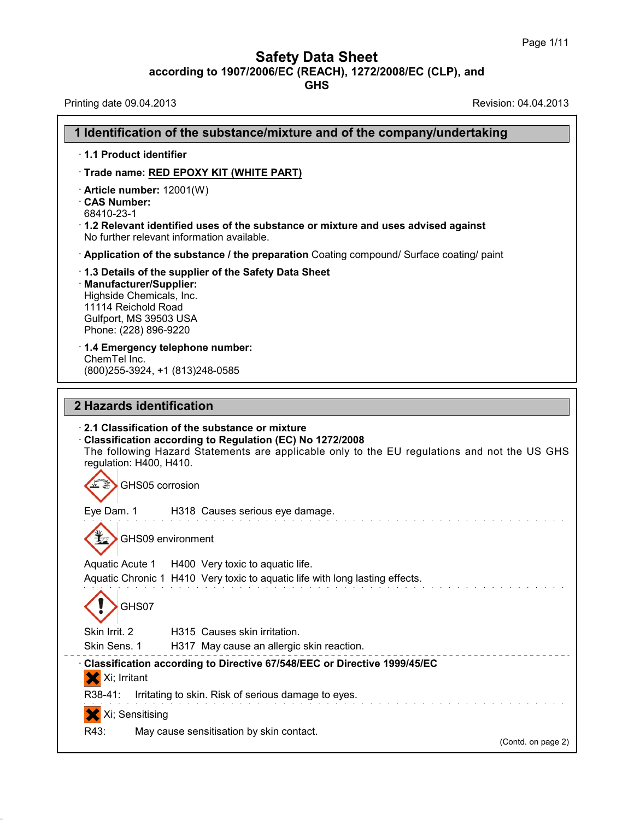## **Safety Data Sheet**

**according to 1907/2006/EC (REACH), 1272/2008/EC (CLP),and**

**GHS**

Printing date 09.04.2013 **Revision: 04.04.2013** 

36.0.22

| 1 Identification of the substance/mixture and of the company/undertaking                                                                                                                                                                                 |
|----------------------------------------------------------------------------------------------------------------------------------------------------------------------------------------------------------------------------------------------------------|
| 1.1 Product identifier                                                                                                                                                                                                                                   |
| Trade name: RED EPOXY KIT (WHITE PART)                                                                                                                                                                                                                   |
| $\cdot$ Article number: 12001(W)<br><b>CAS Number:</b><br>68410-23-1<br>1.2 Relevant identified uses of the substance or mixture and uses advised against<br>No further relevant information available.                                                  |
| Application of the substance / the preparation Coating compound/ Surface coating/ paint                                                                                                                                                                  |
| 1.3 Details of the supplier of the Safety Data Sheet<br>· Manufacturer/Supplier:<br>Highside Chemicals, Inc.<br>11114 Reichold Road<br>Gulfport, MS 39503 USA<br>Phone: (228) 896-9220                                                                   |
| 1.4 Emergency telephone number:<br>ChemTel Inc.<br>(800) 255-3924, +1 (813) 248-0585                                                                                                                                                                     |
| 2 Hazards identification                                                                                                                                                                                                                                 |
| 2.1 Classification of the substance or mixture<br>Classification according to Regulation (EC) No 1272/2008<br>The following Hazard Statements are applicable only to the EU regulations and not the US GHS<br>regulation: H400, H410.<br>GHS05 corrosion |
| Eye Dam. 1<br>H318 Causes serious eye damage.                                                                                                                                                                                                            |
| GHS09 environment                                                                                                                                                                                                                                        |
| Aquatic Acute 1 H400 Very toxic to aquatic life.<br>Aquatic Chronic 1 H410 Very toxic to aquatic life with long lasting effects.                                                                                                                         |
| GHS07                                                                                                                                                                                                                                                    |
| Skin Irrit. 2<br>H315 Causes skin irritation.<br>Skin Sens. 1<br>H317 May cause an allergic skin reaction.                                                                                                                                               |
| Classification according to Directive 67/548/EEC or Directive 1999/45/EC<br>X Xi; Irritant                                                                                                                                                               |
| R38-41:<br>Irritating to skin. Risk of serious damage to eyes.                                                                                                                                                                                           |
|                                                                                                                                                                                                                                                          |
| Xi; Sensitising                                                                                                                                                                                                                                          |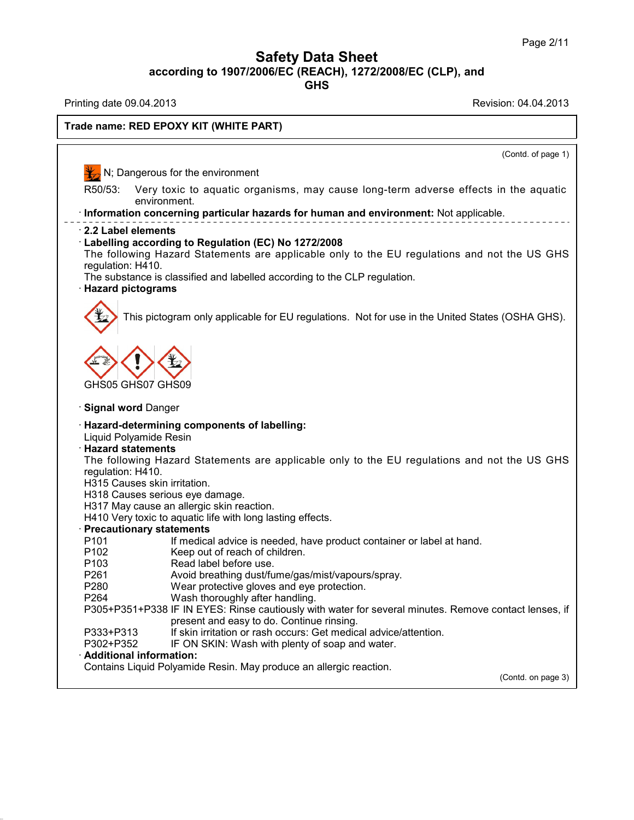**GHS**

Printing date 09.04.2013 **Printing date 09.04.2013** 

36.0.22

### **Trade name: RED EPOXY KIT (WHITE PART)**

(Contd. of page 1)  $\mathbf{Y}_n$  N; Dangerous for the environment R50/53: Very toxic to aquatic organisms, may cause long-term adverse effects in the aquatic environment. · **Information concerning particular hazards for human and environment:** Not applicable. · **2.2 Label elements** · **Labelling according to Regulation (EC) No 1272/2008** The following Hazard Statements are applicable only to the EU regulations and not the US GHS regulation: H410. The substance is classified and labelled according to the CLP regulation. · **Hazard pictograms** This pictogram only applicable for EU regulations. Not for use in the United States (OSHA GHS). GHS05 GHS07 GHS09 · **Signal word** Danger · **Hazard-determining components of labelling:** Liquid Polyamide Resin · **Hazard statements** The following Hazard Statements are applicable only to the EU regulations and not the US GHS regulation: H410. H315 Causes skin irritation. H318 Causes serious eye damage. H317 May cause an allergic skin reaction. H410 Very toxic to aquatic life with long lasting effects. **Precautionary statements**<br>P101 If medica P101 If medical advice is needed, have product container or label at hand.<br>P102 Keep out of reach of children. P102 Keep out of reach of children.<br>P103 Read label before use. P103 Read label before use.<br>P261 Read breathing dust/fu P261 Avoid breathing dust/fume/gas/mist/vapours/spray.<br>P280 Wear protective gloves and eve protection. Wear protective gloves and eye protection. P264 Wash thoroughly after handling. P305+P351+P338 IF IN EYES: Rinse cautiously with water for several minutes. Remove contact lenses, if present and easy to do. Continue rinsing. P333+P313 If skin irritation or rash occurs: Get medical advice/attention.<br>P302+P352 IF ON SKIN: Wash with plenty of soap and water. IF ON SKIN: Wash with plenty of soap and water. · **Additional information:** Contains Liquid Polyamide Resin. May produce an allergic reaction. (Contd. on page 3)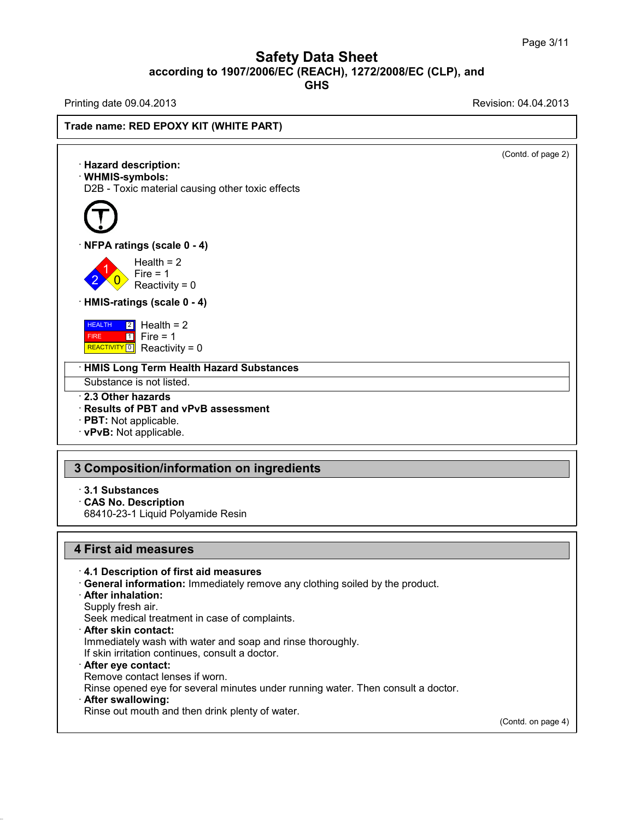Printing date 09.04.2013 **Printing date 09.04.2013** 



· **3.1 Substances**

- · **CAS No. Description**
- 68410-23-1 Liquid Polyamide Resin

## **4 First aid measures**

- · **4.1 Description of first aid measures**
- · **General information:** Immediately remove any clothing soiled by the product.
- · **After inhalation:**
- Supply fresh air.

36.0.22

- Seek medical treatment in case of complaints.
- · **After skin contact:**
- Immediately wash with water and soap and rinse thoroughly.
- If skin irritation continues, consult a doctor.
- · **After eye contact:** Remove contact lenses if worn. Rinse opened eye for several minutes under running water. Then consult a doctor. · **After swallowing:**
- Rinse out mouth and then drink plenty of water.

(Contd. on page 4)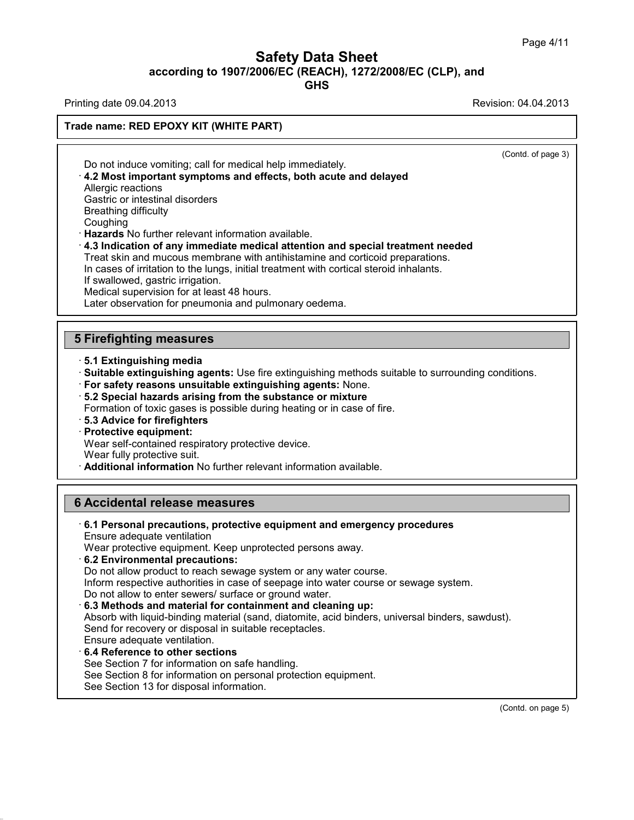**GHS**

Printing date 09.04.2013 **Revision: 04.04.2013** Revision: 04.04.2013

### **Trade name: RED EPOXY KIT (WHITE PART)**

(Contd. of page 3)

Do not induce vomiting; call for medical help immediately.

· **4.2 Most important symptoms and effects, both acute and delayed**

Allergic reactions

Gastric or intestinal disorders Breathing difficulty

Coughing

· **Hazards** No further relevant information available.

· **4.3 Indication of any immediate medical attention and special treatment needed** Treat skin and mucous membrane with antihistamine and corticoid preparations. In cases of irritation to the lungs, initial treatment with cortical steroid inhalants. If swallowed, gastric irrigation. Medical supervision for at least 48 hours.

Later observation for pneumonia and pulmonary oedema.

## **5 Firefighting measures**

- · **5.1 Extinguishing media**
- · **Suitable extinguishing agents:** Use fire extinguishing methods suitable to surrounding conditions.
- · **For safety reasons unsuitable extinguishing agents:** None.
- · **5.2 Special hazards arising from the substance ormixture**
- Formation of toxic gases is possible during heating or in case of fire.
- · **5.3 Advice for firefighters**

## · **Protective equipment:**

Wear self-contained respiratory protective device.

Wear fully protective suit.

· **Additional information** No further relevant information available.

## **6 Accidental release measures**

· **6.1 Personal precautions, protective equipment and emergency procedures** Ensure adequate ventilation

Wear protective equipment. Keep unprotected persons away.

· **6.2 Environmental precautions:**

Do not allow product to reach sewage system or any water course.

Inform respective authorities in case of seepage into water course or sewage system.

Do not allow to enter sewers/ surface or ground water.

· **6.3 Methods and material for containment and cleaning up:**

Absorb with liquid-binding material (sand, diatomite, acid binders, universal binders, sawdust). Send for recovery or disposal in suitable receptacles.

Ensure adequate ventilation.

36.0.22

- · **6.4 Reference to other sections**
- See Section 7 for information on safe handling.

See Section 8 for information on personal protection equipment.

See Section 13 for disposal information.

(Contd. on page 5)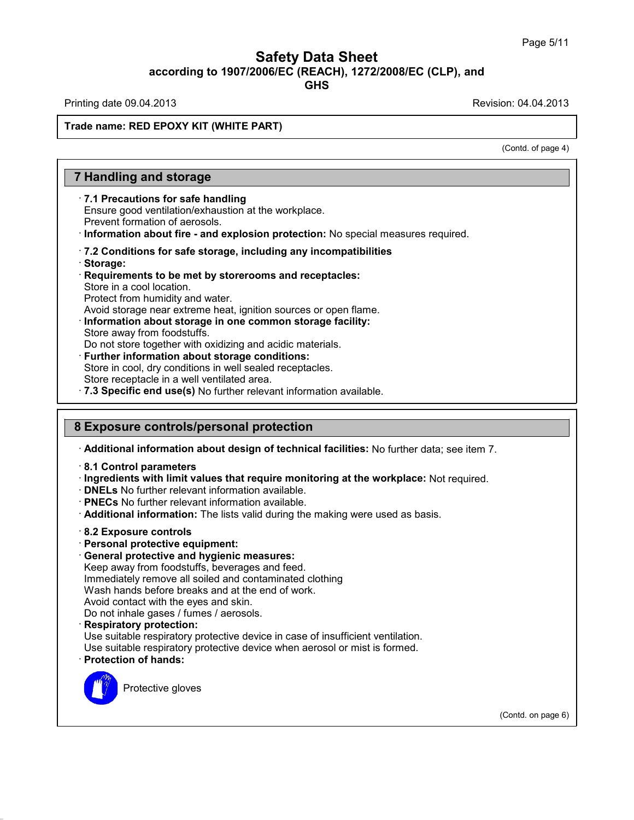Printing date 09.04.2013 **Printing date 09.04.2013** 

### **Trade name: RED EPOXY KIT (WHITE PART)**

(Contd. of page 4)

## **7 Handling and storage**

· **7.1 Precautions for safe handling**

Ensure good ventilation/exhaustion at the workplace.

Prevent formation of aerosols.

· **Information about fire - and explosion protection:** No special measures required.

- · **7.2 Conditions for safe storage, including any incompatibilities**
- · **Storage:**
- · **Requirements to be met by storerooms and receptacles:** Store in a cool location. Protect from humidity and water. Avoid storage near extreme heat, ignition sources or open flame.
- · **Information about storage in one common storage facility:** Store away from foodstuffs.

Do not store together with oxidizing and acidic materials.

· **Further information about storage conditions:**

Store in cool, dry conditions in well sealed receptacles.

- Store receptacle in a well ventilated area.
- · **7.3 Specific end use(s)** No further relevant information available.

## **8 Exposure controls/personal protection**

· **Additional information about design of technical facilities:** No further data; see item 7.

- · **8.1 Control parameters**
- · **Ingredients with limit values that require monitoring at the workplace:** Not required.
- · **DNELs** No further relevant information available.
- · **PNECs** No further relevant information available.
- · **Additional information:** The lists valid during the making were used as basis.
- · **8.2 Exposure controls**
- · **Personal protective equipment:**
- · **General protective and hygienic measures:**

Keep away from foodstuffs, beverages and feed.

Immediately remove all soiled and contaminated clothing

Wash hands before breaks and at the end of work.

Avoid contact with the eyes and skin.

- Do not inhale gases / fumes / aerosols.
- · **Respiratory protection:**

Use suitable respiratory protective device in case of insufficient ventilation.

Use suitable respiratory protective device when aerosol or mist is formed.

· **Protection of hands:**



36.0.22

Protective gloves

(Contd. on page 6)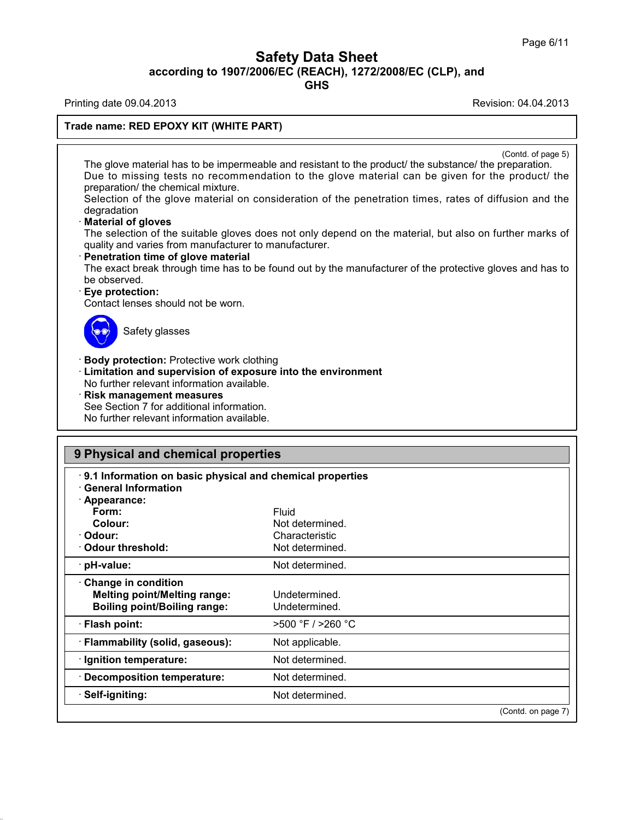**GHS**

Printing date 09.04.2013 **Revision: 04.04.2013** 

#### **Trade name: RED EPOXY KIT (WHITE PART)**

(Contd. of page 5) The glove material has to be impermeable and resistant to the product/ the substance/ the preparation. Due to missing tests no recommendation to the glove material can be given for the product/ the preparation/ the chemical mixture. Selection of the glove material on consideration of the penetration times, rates of diffusion and the

The selection of the suitable gloves does not only depend on the material, but also on further marks of quality and varies from manufacturer to manufacturer.

#### · **Penetration time of glove material**

The exact break through time has to be found out by the manufacturer of the protective gloves and has to be observed.

#### · **Eye protection:**

degradation · **Material of gloves**

Contact lenses should not be worn.



36.0.22

Safety glasses

· **Body protection:** Protective work clothing

- · **Limitation and supervision of exposure into the environment** No further relevant information available.
- · **Risk management measures**

See Section 7 for additional information.

No further relevant information available.

| 9.1 Information on basic physical and chemical properties<br>· General Information |                       |  |
|------------------------------------------------------------------------------------|-----------------------|--|
| · Appearance:                                                                      |                       |  |
| Form:                                                                              | Fluid                 |  |
| Colour:                                                                            | Not determined.       |  |
| · Odour:                                                                           | Characteristic        |  |
| Odour threshold:                                                                   | Not determined.       |  |
| $\cdot$ pH-value:                                                                  | Not determined.       |  |
| Change in condition                                                                |                       |  |
| <b>Melting point/Melting range:</b>                                                | Undetermined.         |  |
| <b>Boiling point/Boiling range:</b>                                                | Undetermined.         |  |
| · Flash point:                                                                     | $>500$ °F / $>260$ °C |  |
| · Flammability (solid, gaseous):                                                   | Not applicable.       |  |
| · Ignition temperature:                                                            | Not determined.       |  |
| · Decomposition temperature:                                                       | Not determined.       |  |
| · Self-igniting:                                                                   | Not determined.       |  |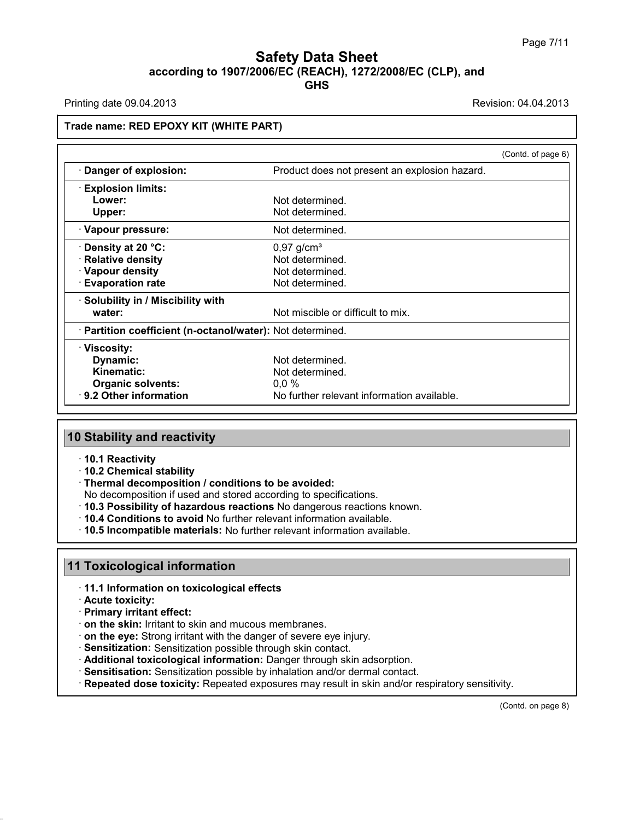Printing date 09.04.2013 **Printing date 09.04.2013** 

#### **Trade name: RED EPOXY KIT (WHITE PART)**

|                                                            |                                               | (Contd. of page 6) |
|------------------------------------------------------------|-----------------------------------------------|--------------------|
| · Danger of explosion:                                     | Product does not present an explosion hazard. |                    |
| <b>Explosion limits:</b>                                   |                                               |                    |
| Lower:                                                     | Not determined.                               |                    |
| Upper:                                                     | Not determined.                               |                    |
| · Vapour pressure:                                         | Not determined.                               |                    |
| $\cdot$ Density at 20 °C:                                  | $0,97$ g/cm <sup>3</sup>                      |                    |
| · Relative density                                         | Not determined.                               |                    |
| · Vapour density                                           | Not determined.                               |                    |
| <b>Evaporation rate</b>                                    | Not determined.                               |                    |
| · Solubility in / Miscibility with                         |                                               |                    |
| water:                                                     | Not miscible or difficult to mix.             |                    |
| · Partition coefficient (n-octanol/water): Not determined. |                                               |                    |
| · Viscosity:                                               |                                               |                    |
| Dynamic:                                                   | Not determined.                               |                    |
| Kinematic:                                                 | Not determined.                               |                    |
| <b>Organic solvents:</b>                                   | $0.0\%$                                       |                    |
| ⋅ 9.2 Other information                                    | No further relevant information available.    |                    |

## **10 Stability and reactivity**

- · **10.1 Reactivity**
- · **10.2 Chemical stability**
- · **Thermal decomposition / conditions to be avoided:**
- No decomposition if used and stored according to specifications.
- · **10.3 Possibility of hazardous reactions** No dangerous reactions known.
- · **10.4 Conditions to avoid** No further relevant information available.
- · **10.5 Incompatible materials:** No further relevant information available.

## **11 Toxicological information**

· **11.1 Information on toxicological effects**

· **Acute toxicity:**

36.0.22

- · **Primary irritant effect:**
- · **on the skin:** Irritant to skin and mucous membranes.
- · **on the eye:** Strong irritant with the danger of severe eye injury.
- · **Sensitization:** Sensitization possible through skin contact.
- · **Additional toxicological information:** Danger through skin adsorption.
- · **Sensitisation:** Sensitization possible by inhalation and/or dermal contact.
- · **Repeated dose toxicity:** Repeated exposures may result in skin and/or respiratory sensitivity.

(Contd. on page 8)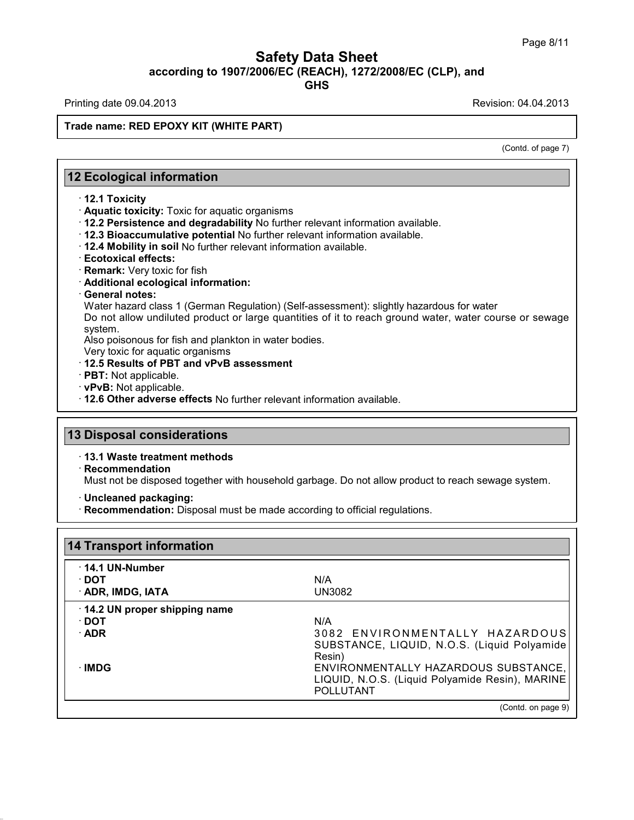Printing date 09.04.2013 **Printing date 09.04.2013** 

### **Trade name: RED EPOXY KIT (WHITE PART)**

(Contd. of page 7)

## **12 Ecological information**

- · **12.1 Toxicity**
- · **Aquatic toxicity:** Toxic for aquatic organisms
- · **12.2 Persistence and degradability** No further relevant information available.
- · **12.3 Bioaccumulative potential** No further relevant information available.
- · **12.4 Mobility in soil** No further relevant information available.
- · **Ecotoxical effects:**
- · **Remark:** Very toxic for fish
- · **Additional ecological information:**
- · **General notes:**

Water hazard class 1 (German Regulation) (Self-assessment): slightly hazardous for water Do not allow undiluted product or large quantities of it to reach ground water, water course or sewage system.

Also poisonous for fish and plankton in water bodies.

- Very toxic for aquatic organisms
- · **12.5 Results of PBT and vPvB assessment**
- · **PBT:** Not applicable.
- · **vPvB:** Not applicable.
- · **12.6 Other adverse effects** No further relevant information available.

## **13 Disposal considerations**

## · **13.1 Waste treatment methods**

· **Recommendation**

36.0.22

Must not be disposed together with household garbage. Do not allow product to reach sewage system.

- · **Uncleaned packaging:**
- · **Recommendation:** Disposal must be made according to official regulations.

| $\cdot$ 14.1 UN-Number       |                                                 |
|------------------------------|-------------------------------------------------|
| ∙ DOT                        | N/A                                             |
| · ADR, IMDG, IATA            | <b>UN3082</b>                                   |
| 14.2 UN proper shipping name |                                                 |
| ∙ DOT                        | N/A                                             |
| $\cdot$ ADR                  | 3082 ENVIRONMENTALLY HAZARDOUS                  |
|                              | SUBSTANCE, LIQUID, N.O.S. (Liquid Polyamide)    |
|                              | Resin)                                          |
| $\cdot$ IMDG                 | ENVIRONMENTALLY HAZARDOUS SUBSTANCE,            |
|                              | LIQUID, N.O.S. (Liquid Polyamide Resin), MARINE |
|                              | <b>POLLUTANT</b>                                |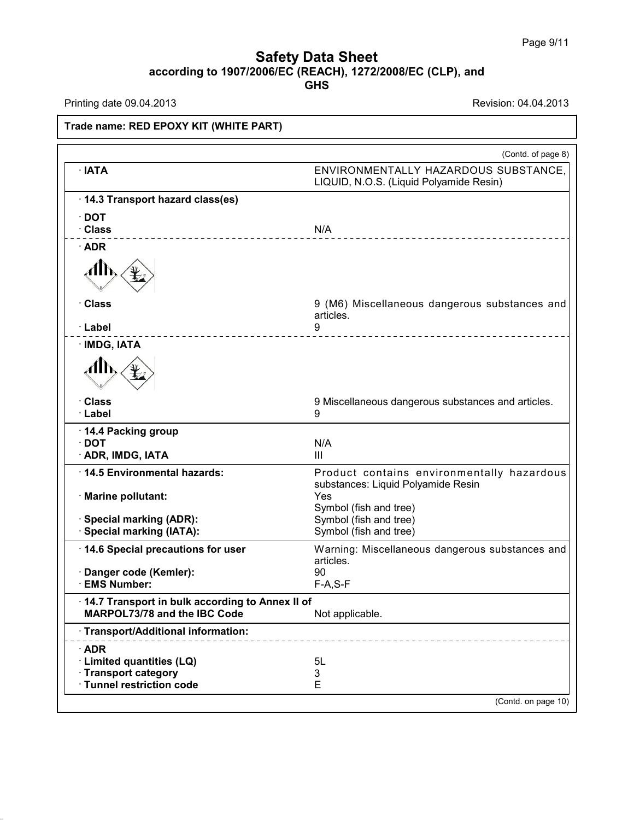Printing date 09.04.2013 **Revision: 04.04.2013** 

36.0.22

## **Trade name: RED EPOXY KIT (WHITE PART)**

|                                                       | (Contd. of page 8)                                                               |
|-------------------------------------------------------|----------------------------------------------------------------------------------|
| $\cdot$ IATA                                          | ENVIRONMENTALLY HAZARDOUS SUBSTANCE,<br>LIQUID, N.O.S. (Liquid Polyamide Resin)  |
| · 14.3 Transport hazard class(es)                     |                                                                                  |
| $\cdot$ DOT                                           |                                                                                  |
| · Class                                               | N/A<br>_________________________                                                 |
| $\cdot$ ADR                                           |                                                                                  |
| $\mathbf{M}$                                          |                                                                                  |
| · Class                                               | 9 (M6) Miscellaneous dangerous substances and<br>articles.                       |
| $\cdot$ Label                                         | 9<br>_______________________                                                     |
| · IMDG, IATA                                          |                                                                                  |
|                                                       |                                                                                  |
| · Class                                               | 9 Miscellaneous dangerous substances and articles.                               |
| $\cdot$ Label                                         | 9                                                                                |
| 14.4 Packing group                                    |                                                                                  |
| $\cdot$ DOT<br>· ADR, IMDG, IATA                      | N/A<br>Ш                                                                         |
| 14.5 Environmental hazards:                           |                                                                                  |
|                                                       | Product contains environmentally hazardous<br>substances: Liquid Polyamide Resin |
| · Marine pollutant:                                   | Yes                                                                              |
|                                                       | Symbol (fish and tree)                                                           |
| · Special marking (ADR):<br>· Special marking (IATA): | Symbol (fish and tree)<br>Symbol (fish and tree)                                 |
|                                                       |                                                                                  |
| 14.6 Special precautions for user                     | Warning: Miscellaneous dangerous substances and<br>articles.                     |
| Danger code (Kemler):                                 | 90                                                                               |
| · EMS Number:                                         | $F-A, S-F$                                                                       |
| 14.7 Transport in bulk according to Annex II of       |                                                                                  |
| MARPOL73/78 and the IBC Code                          | Not applicable.                                                                  |
| <b>Transport/Additional information:</b>              |                                                                                  |
| $\cdot$ ADR                                           |                                                                                  |
| · Limited quantities (LQ)                             | 5L                                                                               |
| · Transport category                                  | 3                                                                                |
| · Tunnel restriction code                             | E                                                                                |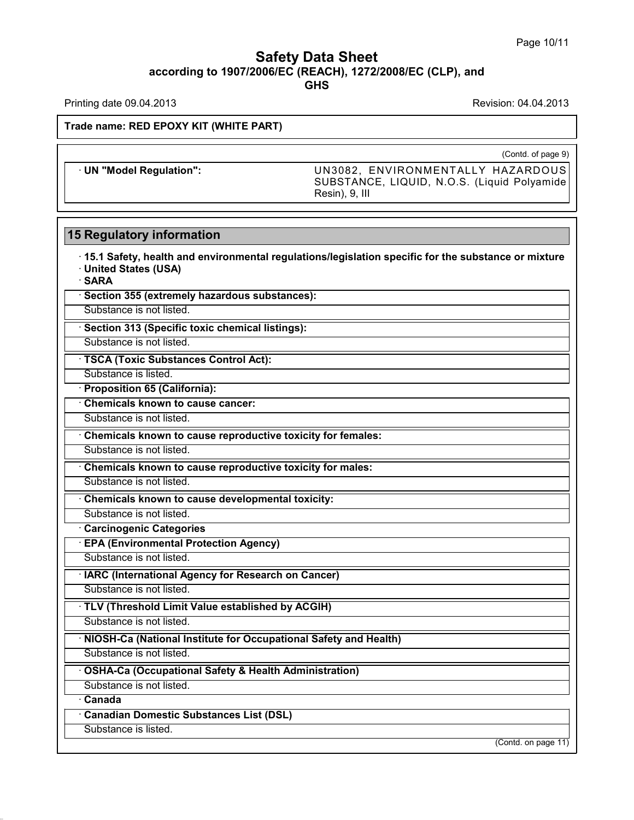Printing date 09.04.2013 **Revision: 04.04.2013** 

36.0.22

(Contd. of page 9)

## **Trade name: RED EPOXY KIT (WHITE PART)**

· **UN "Model Regulation":** UN3082, ENVIRONMENTALLY HAZARDOUS SUBSTANCE, LIQUID, N.O.S. (Liquid Polyamide Resin), 9, III

| · SARA                                                                 | 15.1 Safety, health and environmental regulations/legislation specific for the substance or mixture |
|------------------------------------------------------------------------|-----------------------------------------------------------------------------------------------------|
| · Section 355 (extremely hazardous substances):                        |                                                                                                     |
| Substance is not listed.                                               |                                                                                                     |
| · Section 313 (Specific toxic chemical listings):                      |                                                                                                     |
| Substance is not listed.                                               |                                                                                                     |
| · TSCA (Toxic Substances Control Act):                                 |                                                                                                     |
| Substance is listed.                                                   |                                                                                                     |
| · Proposition 65 (California):                                         |                                                                                                     |
| Chemicals known to cause cancer:                                       |                                                                                                     |
| Substance is not listed.                                               |                                                                                                     |
| Chemicals known to cause reproductive toxicity for females:            |                                                                                                     |
| Substance is not listed.                                               |                                                                                                     |
| Chemicals known to cause reproductive toxicity for males:              |                                                                                                     |
| Substance is not listed.                                               |                                                                                                     |
| Chemicals known to cause developmental toxicity:                       |                                                                                                     |
| Substance is not listed.                                               |                                                                                                     |
| <b>Carcinogenic Categories</b>                                         |                                                                                                     |
| <b>EPA (Environmental Protection Agency)</b>                           |                                                                                                     |
| Substance is not listed.                                               |                                                                                                     |
| · IARC (International Agency for Research on Cancer)                   |                                                                                                     |
| Substance is not listed.                                               |                                                                                                     |
| · TLV (Threshold Limit Value established by ACGIH)                     |                                                                                                     |
| Substance is not listed.                                               |                                                                                                     |
| · NIOSH-Ca (National Institute for Occupational Safety and Health)     |                                                                                                     |
| Substance is not listed.                                               |                                                                                                     |
| · OSHA-Ca (Occupational Safety & Health Administration)                |                                                                                                     |
| Substance is not listed.                                               |                                                                                                     |
| $\overline{\cdot}$ Canada                                              |                                                                                                     |
| <b>Canadian Domestic Substances List (DSL)</b><br>Substance is listed. |                                                                                                     |